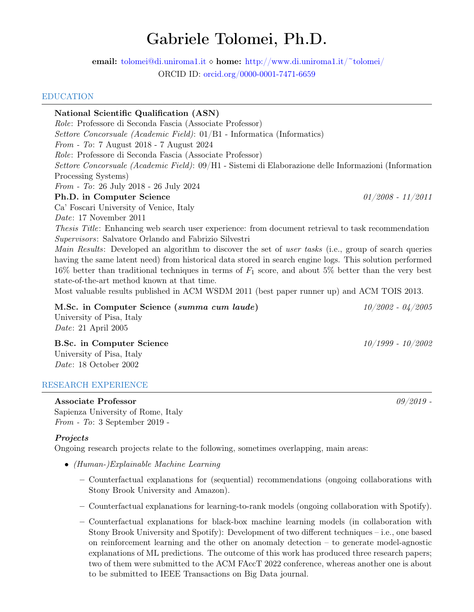# Gabriele Tolomei, Ph.D.

email: [tolomei@di.uniroma1.it](mailto:tolomei@di.uniroma1.it)  $\diamond$  home: <http://www.di.uniroma1.it/~tolomei/> ORCID ID: [orcid.org/0000-0001-7471-6659](https://orcid.org/0000-0001-7471-6659)

#### EDUCATION

National Scientific Qualification (ASN) Role: Professore di Seconda Fascia (Associate Professor) Settore Concorsuale (Academic Field): 01/B1 - Informatica (Informatics) From - To: 7 August 2018 - 7 August 2024 Role: Professore di Seconda Fascia (Associate Professor) Settore Concorsuale (Academic Field): 09/H1 - Sistemi di Elaborazione delle Informazioni (Information Processing Systems) From - To: 26 July 2018 - 26 July 2024 **Ph.D. in Computer Science**  $01/2008 - 11/2011$ Ca' Foscari University of Venice, Italy Date: 17 November 2011 Thesis Title: Enhancing web search user experience: from document retrieval to task recommendation Supervisors: Salvatore Orlando and Fabrizio Silvestri Main Results: Developed an algorithm to discover the set of user tasks (i.e., group of search queries having the same latent need) from historical data stored in search engine logs. This solution performed 16% better than traditional techniques in terms of  $F_1$  score, and about 5% better than the very best state-of-the-art method known at that time. Most valuable results published in ACM WSDM 2011 (best paper runner up) and ACM TOIS 2013. M.Sc. in Computer Science (summa cum laude) 10/2002 - 04/2005

University of Pisa, Italy Date: 21 April 2005

**B.Sc. in Computer Science** 10/1999 - 10/2002 University of Pisa, Italy Date: 18 October 2002

#### RESEARCH EXPERIENCE

Associate Professor  $09/2019$  -Sapienza University of Rome, Italy From - To: 3 September 2019 -

#### **Projects**

Ongoing research projects relate to the following, sometimes overlapping, main areas:

- (Human-)Explainable Machine Learning
	- Counterfactual explanations for (sequential) recommendations (ongoing collaborations with Stony Brook University and Amazon).
	- Counterfactual explanations for learning-to-rank models (ongoing collaboration with Spotify).
	- Counterfactual explanations for black-box machine learning models (in collaboration with Stony Brook University and Spotify): Development of two different techniques – i.e., one based on reinforcement learning and the other on anomaly detection – to generate model-agnostic explanations of ML predictions. The outcome of this work has produced three research papers; two of them were submitted to the ACM FAccT 2022 conference, whereas another one is about to be submitted to IEEE Transactions on Big Data journal.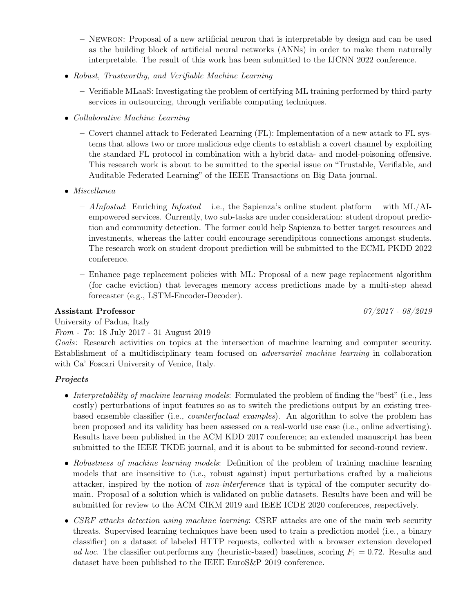- Newron: Proposal of a new artificial neuron that is interpretable by design and can be used as the building block of artificial neural networks (ANNs) in order to make them naturally interpretable. The result of this work has been submitted to the IJCNN 2022 conference.
- Robust, Trustworthy, and Verifiable Machine Learning
	- Verifiable MLaaS: Investigating the problem of certifying ML training performed by third-party services in outsourcing, through verifiable computing techniques.
- Collaborative Machine Learning
	- Covert channel attack to Federated Learning (FL): Implementation of a new attack to FL systems that allows two or more malicious edge clients to establish a covert channel by exploiting the standard FL protocol in combination with a hybrid data- and model-poisoning offensive. This research work is about to be sumitted to the special issue on "Trustable, Verifiable, and Auditable Federated Learning" of the IEEE Transactions on Big Data journal.
- Miscellanea
	- AInfostud: Enriching Infostud i.e., the Sapienza's online student platform with  $ML/AL$ empowered services. Currently, two sub-tasks are under consideration: student dropout prediction and community detection. The former could help Sapienza to better target resources and investments, whereas the latter could encourage serendipitous connections amongst students. The research work on student dropout prediction will be submitted to the ECML PKDD 2022 conference.
	- Enhance page replacement policies with ML: Proposal of a new page replacement algorithm (for cache eviction) that leverages memory access predictions made by a multi-step ahead forecaster (e.g., LSTM-Encoder-Decoder).

#### Assistant Professor  $07/2017$  -  $08/2019$

University of Padua, Italy

## From - To: 18 July 2017 - 31 August 2019

Goals: Research activities on topics at the intersection of machine learning and computer security. Establishment of a multidisciplinary team focused on adversarial machine learning in collaboration with Ca' Foscari University of Venice, Italy.

## **Projects**

- Interpretability of machine learning models: Formulated the problem of finding the "best" (i.e., less costly) perturbations of input features so as to switch the predictions output by an existing treebased ensemble classifier (i.e., counterfactual examples). An algorithm to solve the problem has been proposed and its validity has been assessed on a real-world use case (i.e., online advertising). Results have been published in the ACM KDD 2017 conference; an extended manuscript has been submitted to the IEEE TKDE journal, and it is about to be submitted for second-round review.
- Robustness of machine learning models: Definition of the problem of training machine learning models that are insensitive to (i.e., robust against) input perturbations crafted by a malicious attacker, inspired by the notion of non-interference that is typical of the computer security domain. Proposal of a solution which is validated on public datasets. Results have been and will be submitted for review to the ACM CIKM 2019 and IEEE ICDE 2020 conferences, respectively.
- CSRF attacks detection using machine learning: CSRF attacks are one of the main web security threats. Supervised learning techniques have been used to train a prediction model (i.e., a binary classifier) on a dataset of labeled HTTP requests, collected with a browser extension developed ad hoc. The classifier outperforms any (heuristic-based) baselines, scoring  $F_1 = 0.72$ . Results and dataset have been published to the IEEE EuroS&P 2019 conference.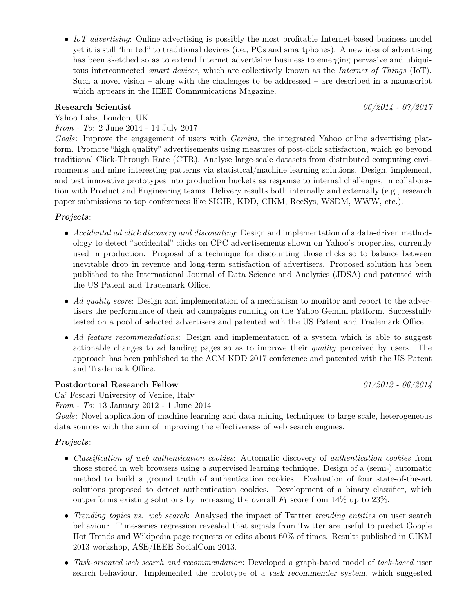• IoT advertising: Online advertising is possibly the most profitable Internet-based business model yet it is still "limited" to traditional devices (i.e., PCs and smartphones). A new idea of advertising has been sketched so as to extend Internet advertising business to emerging pervasive and ubiquitous interconnected *smart devices*, which are collectively known as the *Internet of Things* (IoT). Such a novel vision – along with the challenges to be addressed – are described in a manuscript which appears in the IEEE Communications Magazine.

## Research Scientist  $06/2014$  -  $07/2017$

Yahoo Labs, London, UK

From - To: 2 June 2014 - 14 July 2017

Goals: Improve the engagement of users with *Gemini*, the integrated Yahoo online advertising platform. Promote "high quality" advertisements using measures of post-click satisfaction, which go beyond traditional Click-Through Rate (CTR). Analyse large-scale datasets from distributed computing environments and mine interesting patterns via statistical/machine learning solutions. Design, implement, and test innovative prototypes into production buckets as response to internal challenges, in collaboration with Product and Engineering teams. Delivery results both internally and externally (e.g., research paper submissions to top conferences like SIGIR, KDD, CIKM, RecSys, WSDM, WWW, etc.).

Projects:

- Accidental ad click discovery and discounting: Design and implementation of a data-driven methodology to detect "accidental" clicks on CPC advertisements shown on Yahoo's properties, currently used in production. Proposal of a technique for discounting those clicks so to balance between inevitable drop in revenue and long-term satisfaction of advertisers. Proposed solution has been published to the International Journal of Data Science and Analytics (JDSA) and patented with the US Patent and Trademark Office.
- Ad quality score: Design and implementation of a mechanism to monitor and report to the advertisers the performance of their ad campaigns running on the Yahoo Gemini platform. Successfully tested on a pool of selected advertisers and patented with the US Patent and Trademark Office.
- Ad feature recommendations: Design and implementation of a system which is able to suggest actionable changes to ad landing pages so as to improve their quality perceived by users. The approach has been published to the ACM KDD 2017 conference and patented with the US Patent and Trademark Office.

## Postdoctoral Research Fellow  $01/2012 - 06/2014$

Ca' Foscari University of Venice, Italy

From - To: 13 January 2012 - 1 June 2014

Goals: Novel application of machine learning and data mining techniques to large scale, heterogeneous data sources with the aim of improving the effectiveness of web search engines.

#### Projects:

- Classification of web authentication cookies: Automatic discovery of authentication cookies from those stored in web browsers using a supervised learning technique. Design of a (semi-) automatic method to build a ground truth of authentication cookies. Evaluation of four state-of-the-art solutions proposed to detect authentication cookies. Development of a binary classifier, which outperforms existing solutions by increasing the overall  $F_1$  score from 14% up to 23%.
- Trending topics vs. web search: Analysed the impact of Twitter trending entities on user search behaviour. Time-series regression revealed that signals from Twitter are useful to predict Google Hot Trends and Wikipedia page requests or edits about 60% of times. Results published in CIKM 2013 workshop, ASE/IEEE SocialCom 2013.
- Task-oriented web search and recommendation: Developed a graph-based model of task-based user search behaviour. Implemented the prototype of a task recommender system, which suggested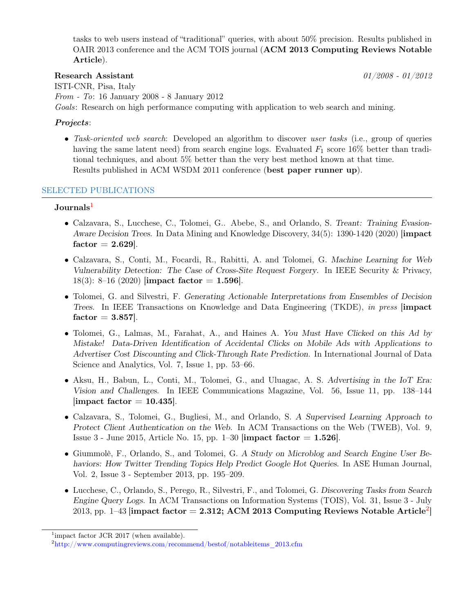tasks to web users instead of "traditional" queries, with about 50% precision. Results published in OAIR 2013 conference and the ACM TOIS journal (ACM 2013 Computing Reviews Notable Article).

## Research Assistant  $01/2008 - 01/2012$

ISTI-CNR, Pisa, Italy From - To: 16 January 2008 - 8 January 2012 Goals: Research on high performance computing with application to web search and mining.

## Projects:

• Task-oriented web search: Developed an algorithm to discover user tasks (i.e., group of queries having the same latent need) from search engine logs. Evaluated  $F_1$  score 16% better than traditional techniques, and about 5% better than the very best method known at that time. Results published in ACM WSDM 2011 conference (best paper runner up).

## SELECTED PUBLICATIONS

#### Journals<sup>[1](#page-3-0)</sup>

- Calzavara, S., Lucchese, C., Tolomei, G.. Abebe, S., and Orlando, S. Treant: Training Evasion-Aware Decision Trees. In Data Mining and Knowledge Discovery, 34(5): 1390-1420 (2020) [impact  $factor = 2.629$ .
- Calzavara, S., Conti, M., Focardi, R., Rabitti, A. and Tolomei, G. Machine Learning for Web Vulnerability Detection: The Case of Cross-Site Request Forgery. In IEEE Security & Privacy, 18(3): 8–16 (2020) [impact factor  $= 1.596$ ].
- Tolomei, G. and Silvestri, F. Generating Actionable Interpretations from Ensembles of Decision Trees. In IEEE Transactions on Knowledge and Data Engineering (TKDE), in press [impact  $factor = 3.857$ .
- Tolomei, G., Lalmas, M., Farahat, A., and Haines A. You Must Have Clicked on this Ad by Mistake! Data-Driven Identification of Accidental Clicks on Mobile Ads with Applications to Advertiser Cost Discounting and Click-Through Rate Prediction. In International Journal of Data Science and Analytics, Vol. 7, Issue 1, pp. 53–66.
- Aksu, H., Babun, L., Conti, M., Tolomei, G., and Uluagac, A. S. Advertising in the IoT Era: Vision and Challenges. In IEEE Communications Magazine, Vol. 56, Issue 11, pp. 138–144  $\lbrack$ impact factor = 10.435.
- Calzavara, S., Tolomei, G., Bugliesi, M., and Orlando, S. A Supervised Learning Approach to Protect Client Authentication on the Web. In ACM Transactions on the Web (TWEB), Vol. 9, Issue 3 - June 2015, Article No. 15, pp. 1–30 [impact factor = 1.526].
- Giummolè, F., Orlando, S., and Tolomei, G. A Study on Microblog and Search Engine User Behaviors: How Twitter Trending Topics Help Predict Google Hot Queries. In ASE Human Journal, Vol. 2, Issue 3 - September 2013, pp. 195–209.
- Lucchese, C., Orlando, S., Perego, R., Silvestri, F., and Tolomei, G. Discovering Tasks from Search Engine Query Logs. In ACM Transactions on Information Systems (TOIS), Vol. 31, Issue 3 - July  $2013$  $2013$ , pp. 1–43 [impact factor =  $2.312$ ; ACM 2013 Computing Reviews Notable Article<sup>2</sup>]

<span id="page-3-0"></span><sup>&</sup>lt;sup>1</sup>impact factor JCR 2017 (when available).

<span id="page-3-1"></span><sup>&</sup>lt;sup>2</sup>http://www.computingreviews.com/recommend/bestof/notableitems 2013.cfm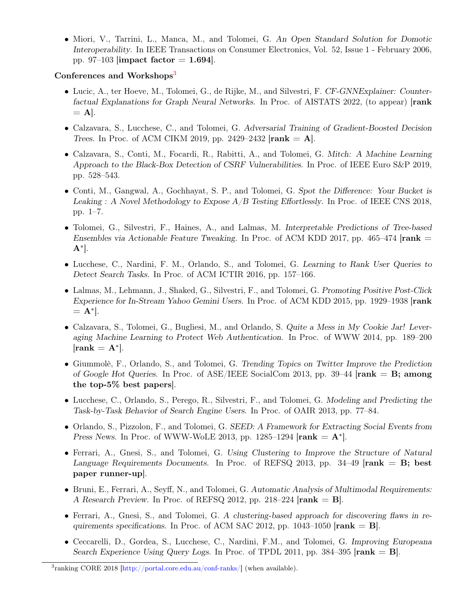• Miori, V., Tarrini, L., Manca, M., and Tolomei, G. An Open Standard Solution for Domotic Interoperability. In IEEE Transactions on Consumer Electronics, Vol. 52, Issue 1 - February 2006, pp. 97–103 [impact factor  $= 1.694$ ].

#### Conferences and Workshops<sup>[3](#page-4-0)</sup>

- Lucic, A., ter Hoeve, M., Tolomei, G., de Rijke, M., and Silvestri, F. CF-GNNExplainer: Counterfactual Explanations for Graph Neural Networks. In Proc. of AISTATS 2022, (to appear) [rank  $=$  A|.
- Calzavara, S., Lucchese, C., and Tolomei, G. Adversarial Training of Gradient-Boosted Decision Trees. In Proc. of ACM CIKM 2019, pp. 2429–2432  $[rank = A]$ .
- Calzavara, S., Conti, M., Focardi, R., Rabitti, A., and Tolomei, G. Mitch: A Machine Learning Approach to the Black-Box Detection of CSRF Vulnerabilities. In Proc. of IEEE Euro S&P 2019, pp. 528–543.
- Conti, M., Gangwal, A., Gochhayat, S. P., and Tolomei, G. Spot the Difference: Your Bucket is Leaking : A Novel Methodology to Expose A/B Testing Effortlessly. In Proc. of IEEE CNS 2018, pp. 1–7.
- Tolomei, G., Silvestri, F., Haines, A., and Lalmas, M. Interpretable Predictions of Tree-based Ensembles via Actionable Feature Tweaking. In Proc. of ACM KDD 2017, pp. 465–474  $[rank =]$  $A^*$ ].
- Lucchese, C., Nardini, F. M., Orlando, S., and Tolomei, G. Learning to Rank User Queries to Detect Search Tasks. In Proc. of ACM ICTIR 2016, pp. 157–166.
- Lalmas, M., Lehmann, J., Shaked, G., Silvestri, F., and Tolomei, G. Promoting Positive Post-Click Experience for In-Stream Yahoo Gemini Users. In Proc. of ACM KDD 2015, pp. 1929–1938 [rank  $= A^*$ .
- Calzavara, S., Tolomei, G., Bugliesi, M., and Orlando, S. Quite a Mess in My Cookie Jar! Leveraging Machine Learning to Protect Web Authentication. In Proc. of WWW 2014, pp. 189–200  $[rank = A^*].$
- Giummolè, F., Orlando, S., and Tolomei, G. Trending Topics on Twitter Improve the Prediction of Google Hot Queries. In Proc. of ASE/IEEE SocialCom 2013, pp. 39–44  $[rank = B;$  among the top-5% best papers].
- Lucchese, C., Orlando, S., Perego, R., Silvestri, F., and Tolomei, G. Modeling and Predicting the Task-by-Task Behavior of Search Engine Users. In Proc. of OAIR 2013, pp. 77–84.
- Orlando, S., Pizzolon, F., and Tolomei, G. SEED: A Framework for Extracting Social Events from Press News. In Proc. of WWW-WoLE 2013, pp. 1285–1294  $[rank = A^*]$ .
- Ferrari, A., Gnesi, S., and Tolomei, G. Using Clustering to Improve the Structure of Natural Language Requirements Documents. In Proc. of REFSQ 2013, pp. 34–49  $[rank = B; best]$ paper runner-up].
- Bruni, E., Ferrari, A., Seyff, N., and Tolomei, G. Automatic Analysis of Multimodal Requirements: A Research Preview. In Proc. of REFSQ 2012, pp. 218–224  $[rank = B]$ .
- Ferrari, A., Gnesi, S., and Tolomei, G. A clustering-based approach for discovering flaws in requirements specifications. In Proc. of ACM SAC 2012, pp. 1043–1050  $[rank = B]$ .
- Ceccarelli, D., Gordea, S., Lucchese, C., Nardini, F.M., and Tolomei, G. Improving Europeana Search Experience Using Query Logs. In Proc. of TPDL 2011, pp. 384–395  $[rank = B]$ .

<span id="page-4-0"></span><sup>&</sup>lt;sup>3</sup>ranking CORE 2018 [\[http://portal.core.edu.au/conf-ranks/\]](http://portal.core.edu.au/conf-ranks/) (when available).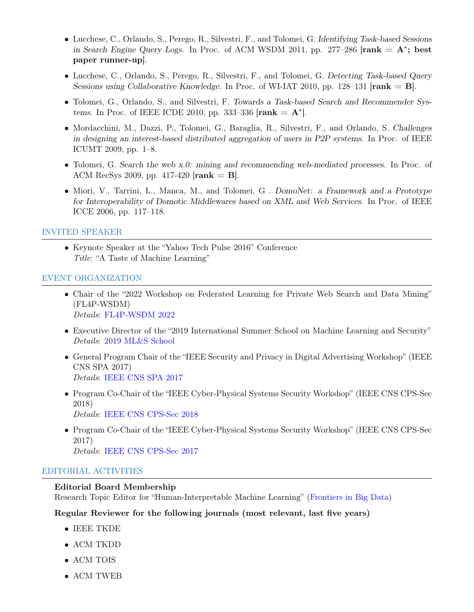- Lucchese, C., Orlando, S., Perego, R., Silvestri, F., and Tolomei, G. Identifying Task-based Sessions in Search Engine Query Logs. In Proc. of ACM WSDM 2011, pp. 277-286  $[rank = A^*; best]$ paper runner-up].
- Lucchese, C., Orlando, S., Perego, R., Silvestri, F., and Tolomei, G. Detecting Task-based Query Sessions using Collaborative Knowledge. In Proc. of WI-IAT 2010, pp. 128–131  $[rank = B]$ .
- Tolomei, G., Orlando, S., and Silvestri, F. Towards a Task-based Search and Recommender Systems. In Proc. of IEEE ICDE 2010, pp. 333-336  $[rank = A^*].$
- Mordacchini, M., Dazzi, P., Tolomei, G., Baraglia, R., Silvestri, F., and Orlando, S. Challenges in designing an interest-based distributed aggregation of users in P2P systems. In Proc. of IEEE ICUMT 2009, pp. 1–8.
- Tolomei, G. Search the web x.0: mining and recommending web-mediated processes. In Proc. of ACM RecSys 2009, pp. 417-420  $[rank = B]$ .
- Miori, V., Tarrini, L., Manca, M., and Tolomei, G. DomoNet: a Framework and a Prototype for Interoperability of Domotic Middlewares based on XML and Web Services. In Proc. of IEEE ICCE 2006, pp. 117–118.

#### INVITED SPEAKER

• Keynote Speaker at the "Yahoo Tech Pulse 2016" Conference Title: "A Taste of Machine Learning"

#### EVENT ORGANIZATION

- Chair of the "2022 Workshop on Federated Learning for Private Web Search and Data Mining" (FL4P-WSDM) Details: [FL4P-WSDM 2022](https://fl4p-wsdm.github.io/)
- Executive Director of the "2019 International Summer School on Machine Learning and Security" Details: [2019 ML&S School](https://spritz.math.unipd.it/events/2019/PIU2019/PagesOutput/MLS/index.html)
- General Program Chair of the "IEEE Security and Privacy in Digital Advertising Workshop" (IEEE CNS SPA 2017) Details: [IEEE CNS SPA 2017](http://cns2017.ieee-cns.org/workshop/security-and-privacy-digital-advertising-spa/committees)
- Program Co-Chair of the "IEEE Cyber-Physical Systems Security Workshop" (IEEE CNS CPS-Sec 2018) Details: [IEEE CNS CPS-Sec 2018](http://cns2018.ieee-cns.org/workshop/cps-sec-international-workshop-cyber-physical-systems-security/committee)
- Program Co-Chair of the "IEEE Cyber-Physical Systems Security Workshop" (IEEE CNS CPS-Sec 2017) Details: [IEEE CNS CPS-Sec 2017](http://cns2017.ieee-cns.org/workshop/cps-sec-international-workshop-cyber-physical-systems-security/committees)

#### EDITORIAL ACTIVITIES

#### Editorial Board Membership

Research Topic Editor for "Human-Interpretable Machine Learning" [\(Frontiers in Big Data\)](https://www.frontiersin.org/research-topics/17131/human-interpretable-machine-learning)

#### Regular Reviewer for the following journals (most relevant, last five years)

- IEEE TKDE
- ACM TKDD
- ACM TOIS
- ACM TWEB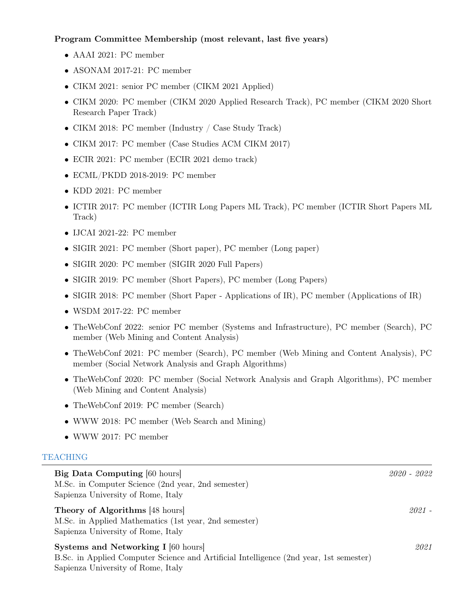## Program Committee Membership (most relevant, last five years)

- AAAI 2021: PC member
- ASONAM 2017-21: PC member
- CIKM 2021: senior PC member (CIKM 2021 Applied)
- CIKM 2020: PC member (CIKM 2020 Applied Research Track), PC member (CIKM 2020 Short Research Paper Track)
- CIKM 2018: PC member (Industry / Case Study Track)
- CIKM 2017: PC member (Case Studies ACM CIKM 2017)
- ECIR 2021: PC member (ECIR 2021 demo track)
- ECML/PKDD 2018-2019: PC member
- KDD 2021: PC member
- ICTIR 2017: PC member (ICTIR Long Papers ML Track), PC member (ICTIR Short Papers ML Track)
- IJCAI 2021-22: PC member
- SIGIR 2021: PC member (Short paper), PC member (Long paper)
- SIGIR 2020: PC member (SIGIR 2020 Full Papers)
- SIGIR 2019: PC member (Short Papers), PC member (Long Papers)
- SIGIR 2018: PC member (Short Paper Applications of IR), PC member (Applications of IR)
- WSDM 2017-22: PC member
- TheWebConf 2022: senior PC member (Systems and Infrastructure), PC member (Search), PC member (Web Mining and Content Analysis)
- TheWebConf 2021: PC member (Search), PC member (Web Mining and Content Analysis), PC member (Social Network Analysis and Graph Algorithms)
- TheWebConf 2020: PC member (Social Network Analysis and Graph Algorithms), PC member (Web Mining and Content Analysis)
- TheWebConf 2019: PC member (Search)
- WWW 2018: PC member (Web Search and Mining)
- WWW 2017: PC member

## TEACHING

| <b>Big Data Computing [60 hours]</b><br>M.Sc. in Computer Science (2nd year, 2nd semester)<br>Sapienza University of Rome, Italy                                           | 2020 - 2022 |
|----------------------------------------------------------------------------------------------------------------------------------------------------------------------------|-------------|
| Theory of Algorithms [48 hours]<br>M.Sc. in Applied Mathematics (1st year, 2nd semester)<br>Sapienza University of Rome, Italy                                             | 2021 -      |
| <b>Systems and Networking I</b> [60 hours]<br>B.Sc. in Applied Computer Science and Artificial Intelligence (2nd year, 1st semester)<br>Sapienza University of Rome, Italy | 2021        |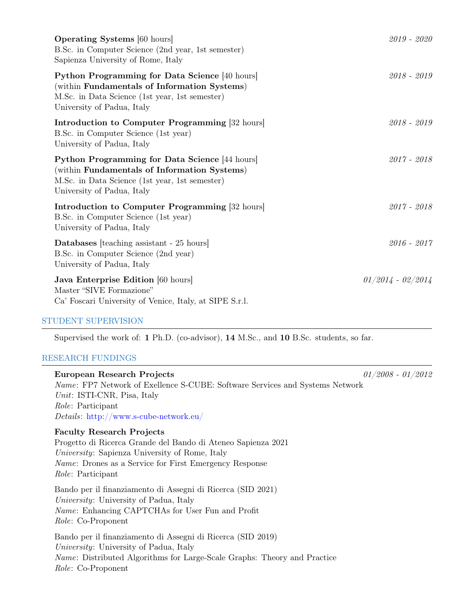| <b>Operating Systems</b> [60 hours]<br>B.Sc. in Computer Science (2nd year, 1st semester)<br>Sapienza University of Rome, Italy                                                | 2019 - 2020         |
|--------------------------------------------------------------------------------------------------------------------------------------------------------------------------------|---------------------|
| Python Programming for Data Science [40 hours]<br>(within Fundamentals of Information Systems)<br>M.Sc. in Data Science (1st year, 1st semester)<br>University of Padua, Italy | $2018 - 2019$       |
| <b>Introduction to Computer Programming</b> [32 hours]<br>B.Sc. in Computer Science (1st year)<br>University of Padua, Italy                                                   | $2018 - 2019$       |
| Python Programming for Data Science [44 hours]<br>(within Fundamentals of Information Systems)<br>M.Sc. in Data Science (1st year, 1st semester)<br>University of Padua, Italy | $2017 - 2018$       |
| <b>Introduction to Computer Programming</b> [32 hours]<br>B.Sc. in Computer Science (1st year)<br>University of Padua, Italy                                                   | $2017 - 2018$       |
| <b>Databases</b> [teaching assistant - 25 hours]<br>B.Sc. in Computer Science (2nd year)<br>University of Padua, Italy                                                         | $2016 - 2017$       |
| Java Enterprise Edition [60 hours]<br>Master "SIVE Formazione"<br>Ca' Foscari University of Venice, Italy, at SIPE S.r.l.                                                      | $01/2014 - 02/2014$ |

## STUDENT SUPERVISION

Supervised the work of: 1 Ph.D. (co-advisor), 14 M.Sc., and 10 B.Sc. students, so far.

# RESEARCH FUNDINGS

| European Research Projects                                                          | $01/2008 - 01/2012$ |
|-------------------------------------------------------------------------------------|---------------------|
| <i>Name:</i> FP7 Network of Exellence S-CUBE: Software Services and Systems Network |                     |
| Unit: ISTI-CNR, Pisa, Italy                                                         |                     |
| <i>Role:</i> Participant                                                            |                     |
| <i>Details:</i> http://www.s-cube-network.eu/                                       |                     |
| <b>Faculty Research Projects</b>                                                    |                     |
| Progetto di Ricerca Grande del Bando di Ateneo Sapienza 2021                        |                     |
| University: Sapienza University of Rome, Italy                                      |                     |
| <i>Name:</i> Drones as a Service for First Emergency Response                       |                     |
| <i>Role:</i> Participant                                                            |                     |
| Bando per il finanziamento di Assegni di Ricerca (SID 2021)                         |                     |
| University: University of Padua, Italy                                              |                     |
| <i>Name:</i> Enhancing CAPTCHAs for User Fun and Profit                             |                     |
| <i>Role:</i> Co-Proponent                                                           |                     |
| Bando per il finanziamento di Assegni di Ricerca (SID 2019)                         |                     |
| University: University of Padua, Italy                                              |                     |
| <i>Name:</i> Distributed Algorithms for Large-Scale Graphs: Theory and Practice     |                     |
| <i>Role:</i> Co-Proponent                                                           |                     |
|                                                                                     |                     |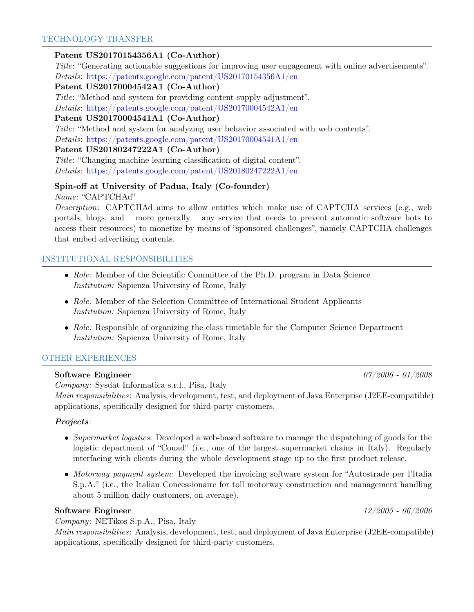## Patent US20170154356A1 (Co-Author)

Title: "Generating actionable suggestions for improving user engagement with online advertisements". Details: <https://patents.google.com/patent/US20170154356A1/en>

## Patent US20170004542A1 (Co-Author)

Title: "Method and system for providing content supply adjustment".

Details: <https://patents.google.com/patent/US20170004542A1/en>

## Patent US20170004541A1 (Co-Author)

Title: "Method and system for analyzing user behavior associated with web contents".

Details: <https://patents.google.com/patent/US20170004541A1/en>

#### Patent US20180247222A1 (Co-Author)

Title: "Changing machine learning classification of digital content". Details: <https://patents.google.com/patent/US20180247222A1/en>

## Spin-off at University of Padua, Italy (Co-founder)

Name: "CAPTCHAd"

Description: CAPTCHAd aims to allow entities which make use of CAPTCHA services (e.g., web portals, blogs, and – more generally – any service that needs to prevent automatic software bots to access their resources) to monetize by means of "sponsored challenges", namely CAPTCHA challenges that embed advertising contents.

## INSTITUTIONAL RESPONSIBILITIES

- Role: Member of the Scientific Committee of the Ph.D. program in Data Science Institution: Sapienza University of Rome, Italy
- Role: Member of the Selection Committee of International Student Applicants Institution: Sapienza University of Rome, Italy
- Role: Responsible of organizing the class timetable for the Computer Science Department Institution: Sapienza University of Rome, Italy

## OTHER EXPERIENCES

## Software Engineer 2008 2008 2008 2009 2008 2012 2008 2012 2012 2014 2012 2013

Company: Sysdat Informatica s.r.l., Pisa, Italy Main responsibilities: Analysis, development, test, and deployment of Java Enterprise (J2EE-compatible) applications, specifically designed for third-party customers.

#### Projects:

- Supermarket logistics: Developed a web-based software to manage the dispatching of goods for the logistic department of "Conad" (i.e., one of the largest supermarket chains in Italy). Regularly interfacing with clients during the whole development stage up to the first product release.
- *Motorway payment system*: Developed the invoicing software system for "Autostrade per l'Italia S.p.A." (i.e., the Italian Concessionaire for toll motorway construction and management handling about 5 million daily customers, on average).

#### Software Engineer 22/2005 - 06/2006

#### Company: NETikos S.p.A., Pisa, Italy

Main responsibilities: Analysis, development, test, and deployment of Java Enterprise (J2EE-compatible) applications, specifically designed for third-party customers.